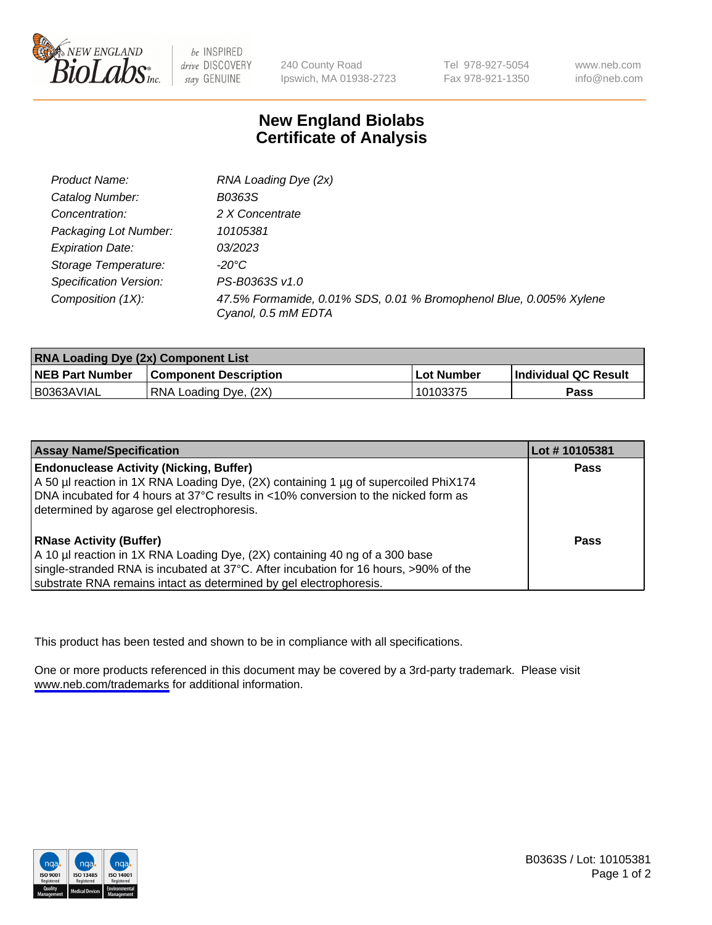

be INSPIRED drive DISCOVERY stay GENUINE

240 County Road Ipswich, MA 01938-2723

Tel 978-927-5054 Fax 978-921-1350

www.neb.com info@neb.com

## **New England Biolabs Certificate of Analysis**

| Product Name:           | RNA Loading Dye (2x)                                                                      |
|-------------------------|-------------------------------------------------------------------------------------------|
| Catalog Number:         | B0363S                                                                                    |
| Concentration:          | 2 X Concentrate                                                                           |
| Packaging Lot Number:   | 10105381                                                                                  |
| <b>Expiration Date:</b> | 03/2023                                                                                   |
| Storage Temperature:    | -20°C                                                                                     |
| Specification Version:  | PS-B0363S v1.0                                                                            |
| Composition (1X):       | 47.5% Formamide, 0.01% SDS, 0.01 % Bromophenol Blue, 0.005% Xylene<br>Cyanol, 0.5 mM EDTA |

| <b>RNA Loading Dye (2x) Component List</b> |                              |              |                      |  |
|--------------------------------------------|------------------------------|--------------|----------------------|--|
| <b>NEB Part Number</b>                     | <b>Component Description</b> | . Lot Number | Individual QC Result |  |
| B0363AVIAL                                 | RNA Loading Dye, (2X)        | 10103375     | <b>Pass</b>          |  |

| <b>Assay Name/Specification</b>                                                      | Lot #10105381 |
|--------------------------------------------------------------------------------------|---------------|
| <b>Endonuclease Activity (Nicking, Buffer)</b>                                       | <b>Pass</b>   |
| A 50 µl reaction in 1X RNA Loading Dye, (2X) containing 1 µg of supercoiled PhiX174  |               |
| DNA incubated for 4 hours at 37°C results in <10% conversion to the nicked form as   |               |
| determined by agarose gel electrophoresis.                                           |               |
| <b>RNase Activity (Buffer)</b>                                                       | Pass          |
| A 10 µl reaction in 1X RNA Loading Dye, (2X) containing 40 ng of a 300 base          |               |
| single-stranded RNA is incubated at 37°C. After incubation for 16 hours, >90% of the |               |
| substrate RNA remains intact as determined by gel electrophoresis.                   |               |

This product has been tested and shown to be in compliance with all specifications.

One or more products referenced in this document may be covered by a 3rd-party trademark. Please visit <www.neb.com/trademarks>for additional information.